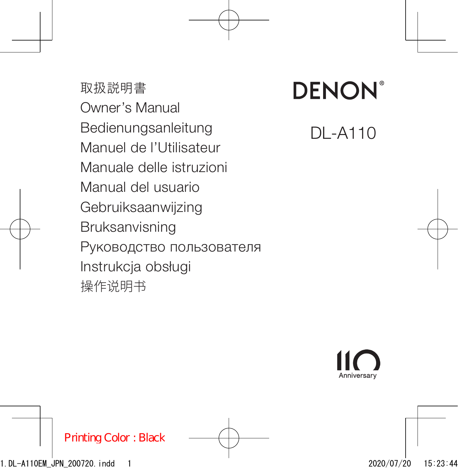取扱説明書 Owner's Manual Bedienungsanleitung Manuel de l'Utilisateur Manuale delle istruzioni Manual del usuario Gebruiksaanwijzing Bruksanvisning Руководство пользователя Instrukcja obsługi 操作说明书

# **DENON**

DL-A110

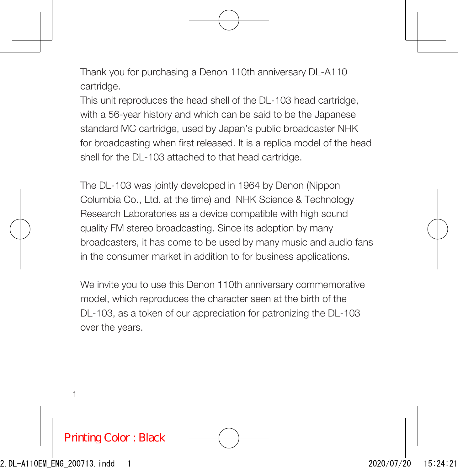Thank you for purchasing a Denon 110th anniversary DL-A110 cartridge.

This unit reproduces the head shell of the DL-103 head cartridge, with a 56-year history and which can be said to be the Japanese standard MC cartridge, used by Japan's public broadcaster NHK for broadcasting when first released. It is a replica model of the head shell for the DL-103 attached to that head cartridge.

The DL-103 was jointly developed in 1964 by Denon (Nippon Columbia Co., Ltd. at the time) and NHK Science & Technology Research Laboratories as a device compatible with high sound quality FM stereo broadcasting. Since its adoption by many broadcasters, it has come to be used by many music and audio fans in the consumer market in addition to for business applications.

We invite you to use this Denon 110th anniversary commemorative model, which reproduces the character seen at the birth of the DL-103, as a token of our appreciation for patronizing the DL-103 over the years.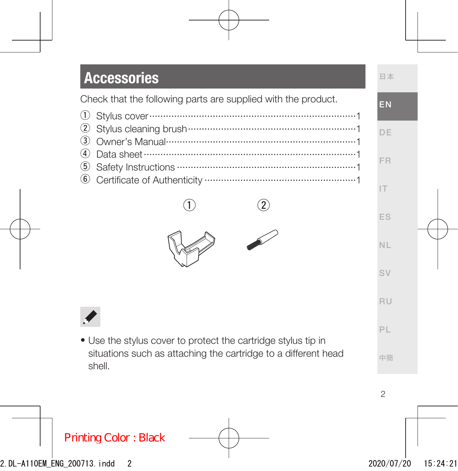#### **Accessories**

Check that the following parts are supplied with the product.





• Use the stylus cover to protect the cartridge stylus tip in situations such as attaching the cartridge to a different head shell.

2

日本 EN

DE

FR IT

ES NL

SV RU

PL 中簡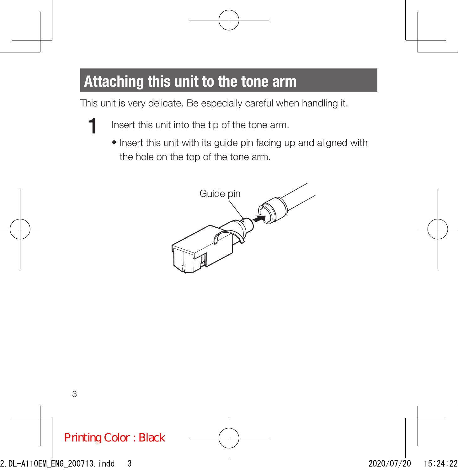## Attaching this unit to the tone arm

This unit is very delicate. Be especially careful when handling it.

- 1 Insert this unit into the tip of the tone arm.
	- Insert this unit with its guide pin facing up and aligned with the hole on the top of the tone arm.

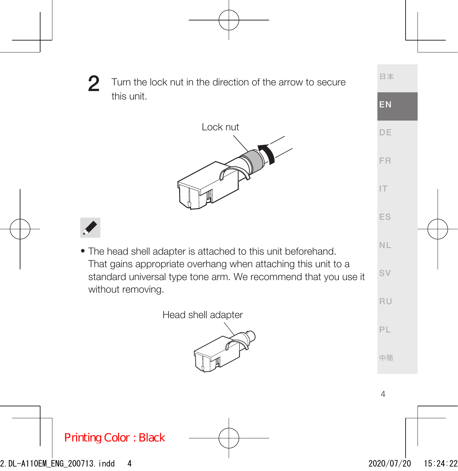2 Turn the lock nut in the direction of the arrow to secure this unit.





• The head shell adapter is attached to this unit beforehand. That gains appropriate overhang when attaching this unit to a standard universal type tone arm. We recommend that you use it without removing.

Head shell adapter



DE FR IT ES NL SV RU PL

日本

EN

中簡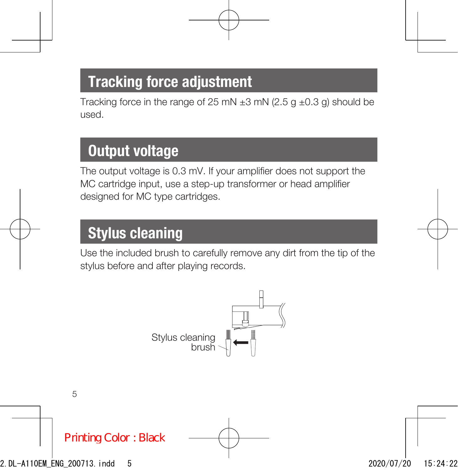## Tracking force adjustment

Tracking force in the range of 25 mN  $\pm$ 3 mN (2.5 g  $\pm$ 0.3 g) should be used.

### Output voltage

The output voltage is 0.3 mV. If your amplifier does not support the MC cartridge input, use a step-up transformer or head amplifier designed for MC type cartridges.

## Stylus cleaning

Use the included brush to carefully remove any dirt from the tip of the stylus before and after playing records.

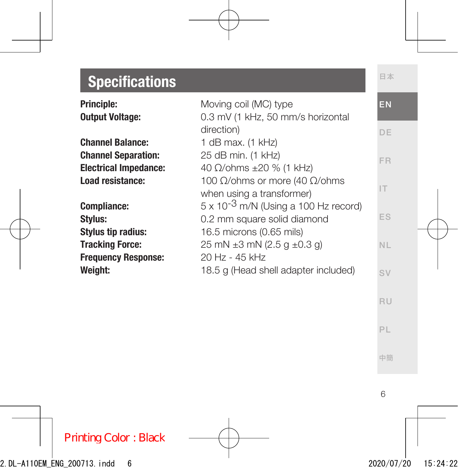## **Specifications**

| <b>Principle:</b><br><b>Output Voltage:</b> | Moving coil (MC) type<br>0.3 mV (1 kHz, 50 mm/s horizontal | EN        |
|---------------------------------------------|------------------------------------------------------------|-----------|
|                                             | direction)                                                 | DE        |
| <b>Channel Balance:</b>                     | 1 dB max. $(1$ kHz)                                        |           |
| <b>Channel Separation:</b>                  | 25 dB min. (1 kHz)                                         | FR        |
| <b>Electrical Impedance:</b>                | 40 Ω/ohms ±20 % (1 kHz)                                    |           |
| Load resistance:                            | 100 $\Omega$ /ohms or more (40 $\Omega$ /ohms              |           |
|                                             | when using a transformer)                                  |           |
| Compliance:                                 | $5 \times 10^{-3}$ m/N (Using a 100 Hz record)             |           |
| Stylus:                                     | 0.2 mm square solid diamond                                | ES        |
| <b>Stylus tip radius:</b>                   | 16.5 microns (0.65 mils)                                   |           |
| <b>Tracking Force:</b>                      | 25 mN $\pm$ 3 mN (2.5 g $\pm$ 0.3 g)                       | <b>NL</b> |
| <b>Frequency Response:</b>                  | 20 Hz - 45 kHz                                             |           |
| Weight:                                     | 18.5 g (Head shell adapter included)                       | SV        |

PL

中簡

日本

ES NL SV RU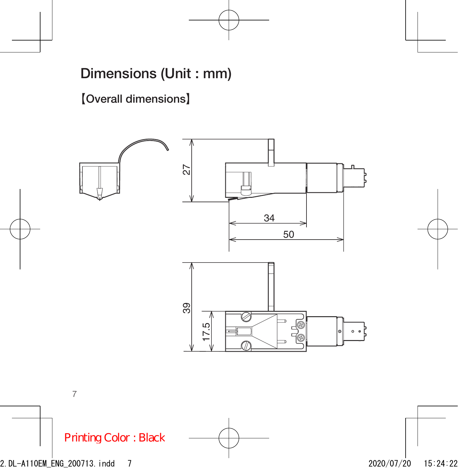#### Dimensions (Unit : mm)

**【**Overall dimensions**】**



7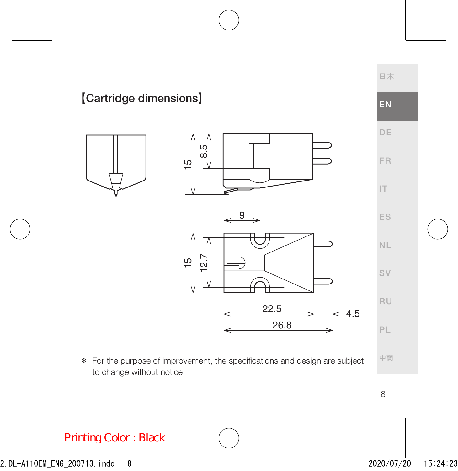#### 日本 DE FR IT ES NL SV RU PL **【Cartridge dimensions】**<br> **EN** 26.8  $22.5$   $\leftarrow 4.5$ 9 15 12.7 15 8.5

\* For the purpose of improvement, the specifications and design are subject to change without notice.

中簡